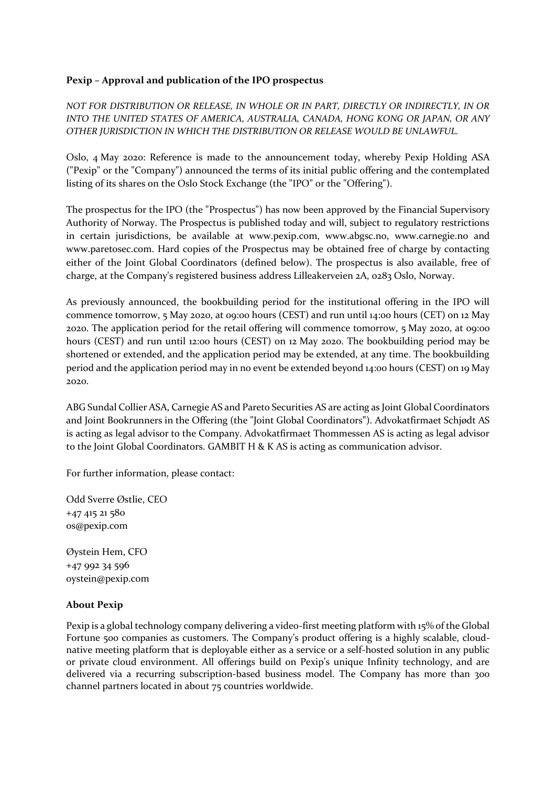## **Pexip – Approval and publication of the IPO prospectus**

*NOT FOR DISTRIBUTION OR RELEASE, IN WHOLE OR IN PART, DIRECTLY OR INDIRECTLY, IN OR INTO THE UNITED STATES OF AMERICA, AUSTRALIA, CANADA, HONG KONG OR JAPAN, OR ANY OTHER JURISDICTION IN WHICH THE DISTRIBUTION OR RELEASE WOULD BE UNLAWFUL.*

Oslo, 4 May 2020: Reference is made to the announcement today, whereby Pexip Holding ASA ("Pexip" or the "Company") announced the terms of its initial public offering and the contemplated listing of its shares on the Oslo Stock Exchange (the "IPO" or the "Offering").

The prospectus for the IPO (the "Prospectus") has now been approved by the Financial Supervisory Authority of Norway. The Prospectus is published today and will, subject to regulatory restrictions in certain jurisdictions, be available at www.pexip.com, www.abgsc.no, www.carnegie.no and www.paretosec.com. Hard copies of the Prospectus may be obtained free of charge by contacting either of the Joint Global Coordinators (defined below). The prospectus is also available, free of charge, at the Company's registered business address Lilleakerveien 2A, 0283 Oslo, Norway.

As previously announced, the bookbuilding period for the institutional offering in the IPO will commence tomorrow, 5 May 2020, at 09:00 hours (CEST) and run until 14:00 hours (CET) on 12 May 2020. The application period for the retail offering will commence tomorrow, 5 May 2020, at 09:00 hours (CEST) and run until 12:00 hours (CEST) on 12 May 2020. The bookbuilding period may be shortened or extended, and the application period may be extended, at any time. The bookbuilding period and the application period may in no event be extended beyond 14:00 hours (CEST) on 19 May 2020.

ABG Sundal Collier ASA, Carnegie AS and Pareto Securities AS are acting as Joint Global Coordinators and Joint Bookrunners in the Offering (the "Joint Global Coordinators**"**). Advokatfirmaet Schjødt AS is acting as legal advisor to the Company. Advokatfirmaet Thommessen AS is acting as legal advisor to the Joint Global Coordinators. GAMBIT H & K AS is acting as communication advisor.

For further information, please contact:

Odd Sverre Østlie, CEO +47 415 21 580 os@pexip.com

Øystein Hem, CFO +47 992 34 596 oystein@pexip.com

## **About Pexip**

Pexip is a global technology company delivering a video-first meeting platform with 15% of the Global Fortune 500 companies as customers. The Company's product offering is a highly scalable, cloudnative meeting platform that is deployable either as a service or a self-hosted solution in any public or private cloud environment. All offerings build on Pexip's unique Infinity technology, and are delivered via a recurring subscription-based business model. The Company has more than 300 channel partners located in about 75 countries worldwide.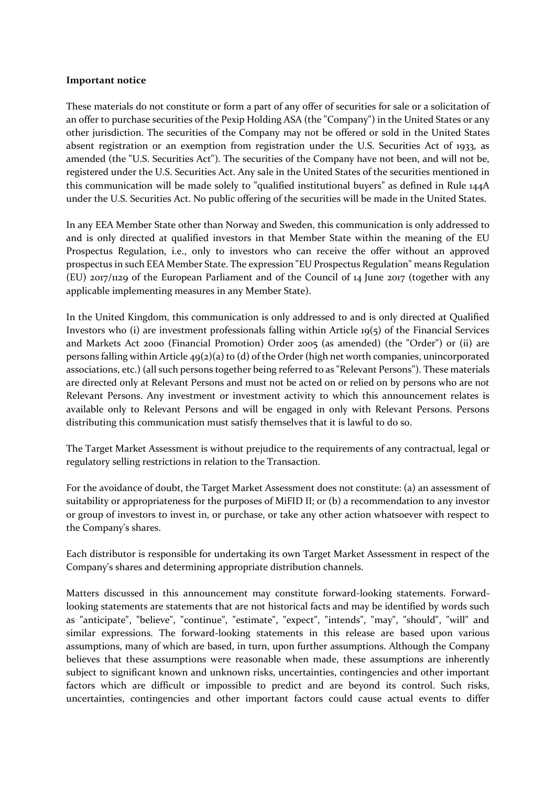## **Important notice**

These materials do not constitute or form a part of any offer of securities for sale or a solicitation of an offer to purchase securities of the Pexip Holding ASA (the "Company") in the United States or any other jurisdiction. The securities of the Company may not be offered or sold in the United States absent registration or an exemption from registration under the U.S. Securities Act of 1933, as amended (the "U.S. Securities Act"). The securities of the Company have not been, and will not be, registered under the U.S. Securities Act. Any sale in the United States of the securities mentioned in this communication will be made solely to "qualified institutional buyers" as defined in Rule 144A under the U.S. Securities Act. No public offering of the securities will be made in the United States.

In any EEA Member State other than Norway and Sweden, this communication is only addressed to and is only directed at qualified investors in that Member State within the meaning of the EU Prospectus Regulation, i.e., only to investors who can receive the offer without an approved prospectus in such EEA Member State. The expression "EU Prospectus Regulation" means Regulation (EU) 2017/1129 of the European Parliament and of the Council of 14 June 2017 (together with any applicable implementing measures in any Member State).

In the United Kingdom, this communication is only addressed to and is only directed at Qualified Investors who (i) are investment professionals falling within Article  $19(5)$  of the Financial Services and Markets Act 2000 (Financial Promotion) Order 2005 (as amended) (the "Order") or (ii) are persons falling within Article  $49(2)(a)$  to (d) of the Order (high net worth companies, unincorporated associations, etc.) (all such persons together being referred to as "Relevant Persons"). These materials are directed only at Relevant Persons and must not be acted on or relied on by persons who are not Relevant Persons. Any investment or investment activity to which this announcement relates is available only to Relevant Persons and will be engaged in only with Relevant Persons. Persons distributing this communication must satisfy themselves that it is lawful to do so.

The Target Market Assessment is without prejudice to the requirements of any contractual, legal or regulatory selling restrictions in relation to the Transaction.

For the avoidance of doubt, the Target Market Assessment does not constitute: (a) an assessment of suitability or appropriateness for the purposes of MiFID II; or (b) a recommendation to any investor or group of investors to invest in, or purchase, or take any other action whatsoever with respect to the Company's shares.

Each distributor is responsible for undertaking its own Target Market Assessment in respect of the Company's shares and determining appropriate distribution channels.

Matters discussed in this announcement may constitute forward-looking statements. Forwardlooking statements are statements that are not historical facts and may be identified by words such as "anticipate", "believe", "continue", "estimate", "expect", "intends", "may", "should", "will" and similar expressions. The forward-looking statements in this release are based upon various assumptions, many of which are based, in turn, upon further assumptions. Although the Company believes that these assumptions were reasonable when made, these assumptions are inherently subject to significant known and unknown risks, uncertainties, contingencies and other important factors which are difficult or impossible to predict and are beyond its control. Such risks, uncertainties, contingencies and other important factors could cause actual events to differ